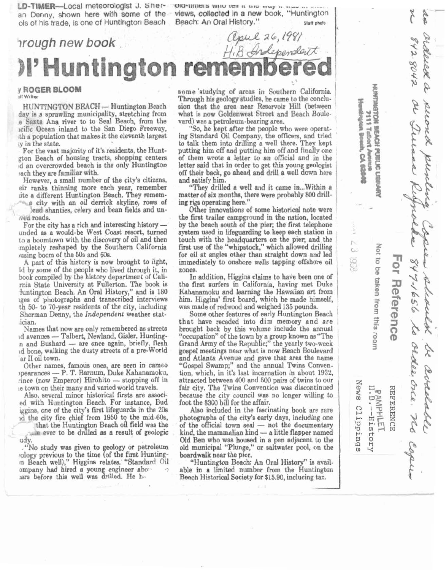LD-TIMER-Local meteorologist J. Sher- **Old-timers** with ten it are trug in a

an Denny, shown here with some **of the views, collected in a** new book, "Huntington **01s of his trade, is one of Huntington Beach Beach: An Oral History." Staff photo** 

?rough new **book.**  Frough new book<br>*Hill Andependent*<br>**Fightington remembered** 

## **7 ROGER BLOOM iff Writer**

HUNTINGTON BEACH - Huntington Beach day is a sprawling municipality, stretching from e Santa Ana river to to Seal Beach, from the cific Ocean inland to the San Diego Freeway, th a population that makes it the eleventh largest **:y** in ihe state.

For the vast majority of it's residenta, the Hunt- @on Reach of housing tracts, shopping centers ,d an overcrowded beach is the only Huntington tach they are familiar with.

However, a small number of the city's citizens, eir ranks thinning more each year, remember ~ite adifferent Huntington Beach. They remem- c a city with an oil derrick skyline, rows of

~rad shanties, celery and bean fields and **un- ~vt fi** roads.

For the city has a rich and interesting history unded as a would-be West Coast resort, turned to a boomtown with the discovery of oil and then mpletely reshaped by the Southern California ,using boom of the **509** and 60s.

**A** part of this history is now brought to light, Id by some of the **peo** le who lived through it, in book compiled by the history department of Calirnia State University at Fullerton. 'me book is Iuntington Beach. An Oral History," and is 180 ges of photographs and transcribed interviews tn **50- to** 70-year residenta of the city, including Sherman Denny, the Independent weather statician.

Namea that now are only remembered **as** streets ician.<br>Names that now are only remembered as streets<br>d avenues -- Talbert, Newland, Gisler, Hunting-Names that now are only remembered as streets<br>d avenues -- Talbert, Newland, Gisler, Hunting-<br>n and Bushard -- are once again, briefly, flesh<br>d bone, walking the dusty streets of a pre-World **ar** II oil tom.

Other names, famous ones, **are** seen in cameo ar II oil town.<br>
Other names, famous ones, are seen in cameo<br>
pearances - P. T. Barnum, Duke Kahanamoku, Other names, famous ones, are seen in cameo<br>pearances — P. T. Barnum, Duke Kahanamoku,<br>ince (now Emperor) Hirohito — stopping off in ,e town on their many and varied world travels.

Also, several minor historical firsts are associ**ed** with Huntington Beach. For instance, Bud iggina, one of the city's first lifeguards in the **205 14** tbe city fire chief from 1950 **to** the mid-60%

that the Huntington Bench oil field was the **-..le** ever to be drilled as a result of geologic udv

."No study **wae** given to geology or petroleum eology previous to the time (of the first Hunting**bn** Beach well)," Higgins relates. "Standard oil ompany had hired a young engineer abo<sup>3</sup>  $l$ ars before this well was drilled. He h.

some studying of areas in Southern California. Through his geology studies, he came to the conclusion that the area near Reservoir Hill (between what is now Goldenwest Street and Beach Boule-<br>vard) was a petroleum-bearing area.

"So, he kept after the people who were operating **Standard** Oil Company, the officers, and tried to talk them into drilling a well there. They kept putting him off and putting him off and finally one of them wrote a letter to an official and in the letter said that in order to get this young geologist off their back, go ahead and drill a well down here and satisfy him.

"Thev **drilled** a well and it **came** in ... Within a matter of **eix** months, there were probably **800** drilling rigs operating here."

Other innovations of some historical note were the first trailer campground in the nation, located by the beach south of the pier; the first telephone system wed in ljfeguarding to **keep** each station in touch with the headquarters on the pier; and the first use of the "whipstock," which allowed drilling for oil at angles other than straight down and led immediately to omhore wells tapping offshore oil zones.

In addition, Higgina claima to have been one of the first surfers in California, having met Duke Kahannmoku and learning the **Hawaiian** art from / him. Higgins' first board, which he made himself, was made of redwood and weighed 135 pounds.

Some other features of early Huntington Beach that have receded into dim memory and are <sup>1</sup> brought back by this volume include the annual "occupation" of the town by a group known as "The **Grand** Army of the Republic;" the yearly two-week gospel meetings near what is now Beach Boulevard and Atlanta Avenue and gave that area the name "Gospel Swamp;" and the annual Twins Convention, which, in it's last incarnation in about 1932, attracted between **401)** and 500 pairs of twins to our fair city. The **?'wins** Convention **was** diecontinued because the city council was no longer willing to foot the \$300 bill for the affair.

**Also** included in the fascinating book are rare photographs of the city's early days, including one Also included in the fascinating book are rare<br>photographs of the city's early days, including one<br>of the official town seal — not the documentary photographs of the city's early days, including one<br>of the official town seal — not the documentary<br>kind, the mammalian kind — a little flapper named kind, the mammalian kind - a little flapper named Old Ben who was housed in a pen adjacent to the old municipal "Plunge," or saltwater pool, on tbe boardwalk near the pier.

"Huntington Beach: An Oral History" is available in a limitd **number** from the Huntington **Bench** Historical Society for \$15.90, inclucing **tax.** 

| witercon Bosch, CA 6264 | <b>NISHER</b>                  |                  | ardeied a puend puntin<br>842.8042 or Trinan Ribprolke 847-1656 to order orce. He copie |
|-------------------------|--------------------------------|------------------|-----------------------------------------------------------------------------------------|
| < 3  998                | Not to be taken from this room | For Reference    | speed steverly.                                                                         |
| News Clippings          | PAMPHLET.<br>H.B.--History     | <b>REFERENCE</b> | be avalable                                                                             |